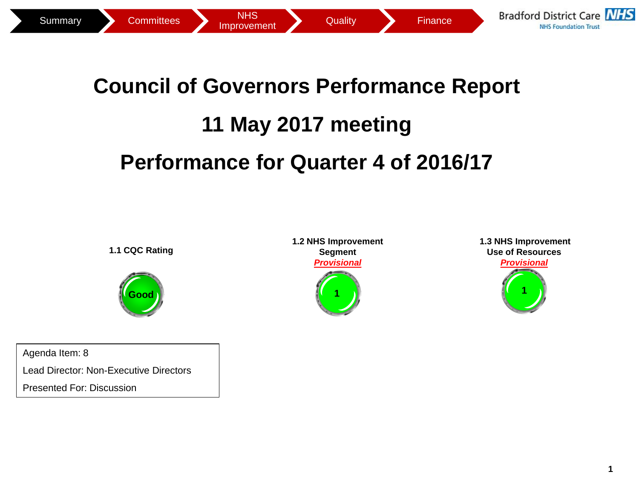

## **Council of Governors Performance Report 11 May 2017 meeting Performance for Quarter 4 of 2016/17**

**1.1 CQC Rating**



Agenda Item: 8 Lead Director: Non-Executive Directors Presented For: Discussion

**1.2 NHS Improvement Segment** *Provisional* **1**

**1.3 NHS Improvement Use of Resources**  *Provisional* **2 1**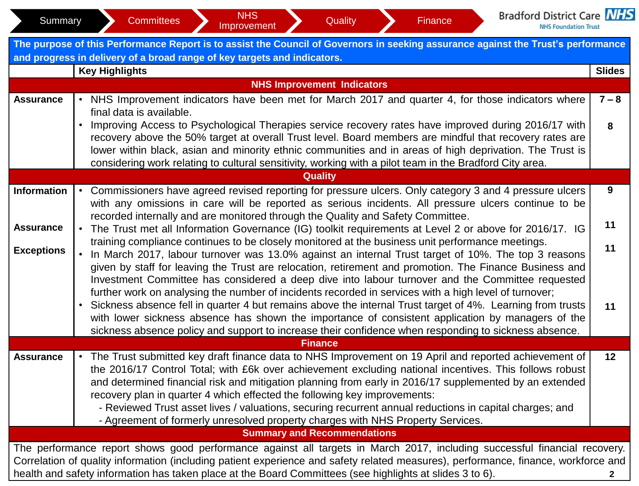| Summary                                                                                                                                                                                                       | <b>Bradford District Care NHS</b><br><b>NHS</b><br><b>Committees</b><br>Quality<br>Finance<br>Improvement<br><b>NHS Foundation Trust</b>                                                                                                                                                                                                                                                                                                                                                                                        |               |  |  |  |  |  |  |  |
|---------------------------------------------------------------------------------------------------------------------------------------------------------------------------------------------------------------|---------------------------------------------------------------------------------------------------------------------------------------------------------------------------------------------------------------------------------------------------------------------------------------------------------------------------------------------------------------------------------------------------------------------------------------------------------------------------------------------------------------------------------|---------------|--|--|--|--|--|--|--|
| The purpose of this Performance Report is to assist the Council of Governors in seeking assurance against the Trust's performance<br>and progress in delivery of a broad range of key targets and indicators. |                                                                                                                                                                                                                                                                                                                                                                                                                                                                                                                                 |               |  |  |  |  |  |  |  |
|                                                                                                                                                                                                               | <b>Key Highlights</b>                                                                                                                                                                                                                                                                                                                                                                                                                                                                                                           | <b>Slides</b> |  |  |  |  |  |  |  |
|                                                                                                                                                                                                               | <b>NHS Improvement Indicators</b>                                                                                                                                                                                                                                                                                                                                                                                                                                                                                               |               |  |  |  |  |  |  |  |
| <b>Assurance</b>                                                                                                                                                                                              | • NHS Improvement indicators have been met for March 2017 and quarter 4, for those indicators where<br>final data is available.                                                                                                                                                                                                                                                                                                                                                                                                 | $7 - 8$       |  |  |  |  |  |  |  |
|                                                                                                                                                                                                               | Improving Access to Psychological Therapies service recovery rates have improved during 2016/17 with<br>$\bullet$<br>recovery above the 50% target at overall Trust level. Board members are mindful that recovery rates are<br>lower within black, asian and minority ethnic communities and in areas of high deprivation. The Trust is                                                                                                                                                                                        |               |  |  |  |  |  |  |  |
|                                                                                                                                                                                                               | considering work relating to cultural sensitivity, working with a pilot team in the Bradford City area.                                                                                                                                                                                                                                                                                                                                                                                                                         |               |  |  |  |  |  |  |  |
|                                                                                                                                                                                                               | <b>Quality</b>                                                                                                                                                                                                                                                                                                                                                                                                                                                                                                                  | 9             |  |  |  |  |  |  |  |
| <b>Information</b>                                                                                                                                                                                            | Commissioners have agreed revised reporting for pressure ulcers. Only category 3 and 4 pressure ulcers<br>with any omissions in care will be reported as serious incidents. All pressure ulcers continue to be                                                                                                                                                                                                                                                                                                                  |               |  |  |  |  |  |  |  |
| <b>Assurance</b>                                                                                                                                                                                              | recorded internally and are monitored through the Quality and Safety Committee.<br>The Trust met all Information Governance (IG) toolkit requirements at Level 2 or above for 2016/17. IG                                                                                                                                                                                                                                                                                                                                       | 11            |  |  |  |  |  |  |  |
|                                                                                                                                                                                                               |                                                                                                                                                                                                                                                                                                                                                                                                                                                                                                                                 | 11            |  |  |  |  |  |  |  |
| <b>Exceptions</b>                                                                                                                                                                                             | training compliance continues to be closely monitored at the business unit performance meetings.<br>In March 2017, labour turnover was 13.0% against an internal Trust target of 10%. The top 3 reasons<br>given by staff for leaving the Trust are relocation, retirement and promotion. The Finance Business and<br>Investment Committee has considered a deep dive into labour turnover and the Committee requested<br>further work on analysing the number of incidents recorded in services with a high level of turnover; |               |  |  |  |  |  |  |  |
|                                                                                                                                                                                                               | Sickness absence fell in quarter 4 but remains above the internal Trust target of 4%. Learning from trusts<br>$\bullet$<br>with lower sickness absence has shown the importance of consistent application by managers of the<br>sickness absence policy and support to increase their confidence when responding to sickness absence.                                                                                                                                                                                           | 11            |  |  |  |  |  |  |  |
|                                                                                                                                                                                                               | <b>Finance</b>                                                                                                                                                                                                                                                                                                                                                                                                                                                                                                                  |               |  |  |  |  |  |  |  |
| <b>Assurance</b>                                                                                                                                                                                              | The Trust submitted key draft finance data to NHS Improvement on 19 April and reported achievement of<br>the 2016/17 Control Total; with £6k over achievement excluding national incentives. This follows robust<br>and determined financial risk and mitigation planning from early in 2016/17 supplemented by an extended<br>recovery plan in quarter 4 which effected the following key improvements:                                                                                                                        | 12            |  |  |  |  |  |  |  |
|                                                                                                                                                                                                               | - Reviewed Trust asset lives / valuations, securing recurrent annual reductions in capital charges; and<br>- Agreement of formerly unresolved property charges with NHS Property Services.                                                                                                                                                                                                                                                                                                                                      |               |  |  |  |  |  |  |  |
|                                                                                                                                                                                                               | <b>Summary and Recommendations</b>                                                                                                                                                                                                                                                                                                                                                                                                                                                                                              |               |  |  |  |  |  |  |  |
|                                                                                                                                                                                                               | The performance report shows good performance against all targets in March 2017, including successful financial recovery.<br>Correlation of quality information (including patient experience and safety related measures), performance, finance, workforce and                                                                                                                                                                                                                                                                 |               |  |  |  |  |  |  |  |
|                                                                                                                                                                                                               | health and safety information has taken place at the Board Committees (see highlights at slides 3 to 6).                                                                                                                                                                                                                                                                                                                                                                                                                        | $\mathbf{2}$  |  |  |  |  |  |  |  |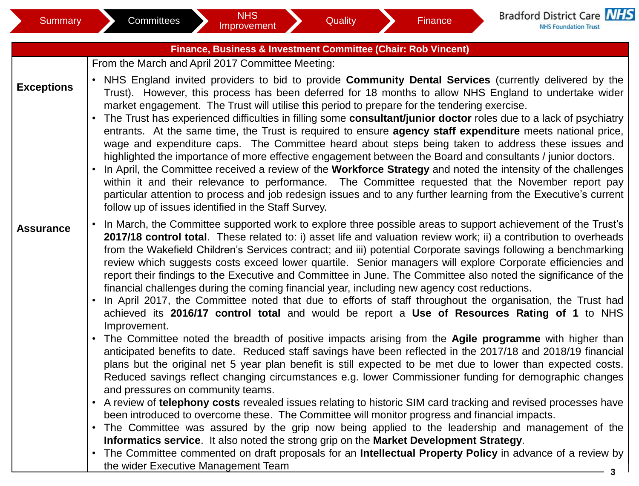|                   | Finance, Business & Investment Committee (Chair: Rob Vincent)                                                                                                                                                                                                                                                                                                                                                                                                                                                                                                                                                                                                                                                                                                                                                                                                                                                                                                                                                                                                                                                                                                                  |
|-------------------|--------------------------------------------------------------------------------------------------------------------------------------------------------------------------------------------------------------------------------------------------------------------------------------------------------------------------------------------------------------------------------------------------------------------------------------------------------------------------------------------------------------------------------------------------------------------------------------------------------------------------------------------------------------------------------------------------------------------------------------------------------------------------------------------------------------------------------------------------------------------------------------------------------------------------------------------------------------------------------------------------------------------------------------------------------------------------------------------------------------------------------------------------------------------------------|
|                   | From the March and April 2017 Committee Meeting:                                                                                                                                                                                                                                                                                                                                                                                                                                                                                                                                                                                                                                                                                                                                                                                                                                                                                                                                                                                                                                                                                                                               |
| <b>Exceptions</b> | • NHS England invited providers to bid to provide Community Dental Services (currently delivered by the<br>Trust). However, this process has been deferred for 18 months to allow NHS England to undertake wider<br>market engagement. The Trust will utilise this period to prepare for the tendering exercise.<br>• The Trust has experienced difficulties in filling some consultant/junior doctor roles due to a lack of psychiatry<br>entrants. At the same time, the Trust is required to ensure agency staff expenditure meets national price,<br>wage and expenditure caps. The Committee heard about steps being taken to address these issues and<br>highlighted the importance of more effective engagement between the Board and consultants / junior doctors.<br>• In April, the Committee received a review of the Workforce Strategy and noted the intensity of the challenges<br>within it and their relevance to performance. The Committee requested that the November report pay<br>particular attention to process and job redesign issues and to any further learning from the Executive's current<br>follow up of issues identified in the Staff Survey. |
| <b>Assurance</b>  | In March, the Committee supported work to explore three possible areas to support achievement of the Trust's<br>$\bullet$<br>2017/18 control total. These related to: i) asset life and valuation review work; ii) a contribution to overheads<br>from the Wakefield Children's Services contract; and iii) potential Corporate savings following a benchmarking<br>review which suggests costs exceed lower quartile. Senior managers will explore Corporate efficiencies and<br>report their findings to the Executive and Committee in June. The Committee also noted the significance of the<br>financial challenges during the coming financial year, including new agency cost reductions.<br>• In April 2017, the Committee noted that due to efforts of staff throughout the organisation, the Trust had<br>achieved its 2016/17 control total and would be report a Use of Resources Rating of 1 to NHS                                                                                                                                                                                                                                                               |
|                   | • The Committee noted the breadth of positive impacts arising from the Agile programme with higher than<br>anticipated benefits to date. Reduced staff savings have been reflected in the 2017/18 and 2018/19 financial<br>plans but the original net 5 year plan benefit is still expected to be met due to lower than expected costs.<br>Reduced savings reflect changing circumstances e.g. lower Commissioner funding for demographic changes<br>and pressures on community teams.                                                                                                                                                                                                                                                                                                                                                                                                                                                                                                                                                                                                                                                                                         |
|                   | • A review of telephony costs revealed issues relating to historic SIM card tracking and revised processes have                                                                                                                                                                                                                                                                                                                                                                                                                                                                                                                                                                                                                                                                                                                                                                                                                                                                                                                                                                                                                                                                |
|                   | • The Committee was assured by the grip now being applied to the leadership and management of the<br>Informatics service. It also noted the strong grip on the Market Development Strategy.                                                                                                                                                                                                                                                                                                                                                                                                                                                                                                                                                                                                                                                                                                                                                                                                                                                                                                                                                                                    |
|                   |                                                                                                                                                                                                                                                                                                                                                                                                                                                                                                                                                                                                                                                                                                                                                                                                                                                                                                                                                                                                                                                                                                                                                                                |
|                   | Improvement.<br>been introduced to overcome these. The Committee will monitor progress and financial impacts.<br>• The Committee commented on draft proposals for an Intellectual Property Policy in advance of a review by<br>the wider Executive Management Team                                                                                                                                                                                                                                                                                                                                                                                                                                                                                                                                                                                                                                                                                                                                                                                                                                                                                                             |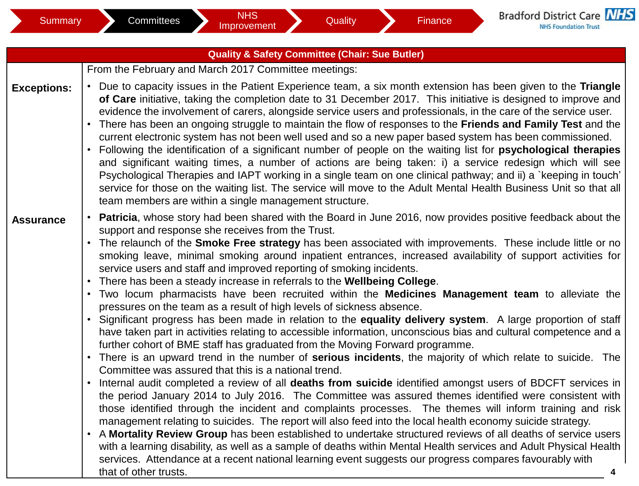| <b>Quality &amp; Safety Committee (Chair: Sue Butler)</b> |                                                                                                                                                                                                                                                                                                                                                                                                                                                                                                                                                                                                                                                                                                                                                                                                                                                                                                                                                                                                                                                                                                                                                                                                                                                                                                                                                                                                                                                                                                                                                                                                                                                                                                                                                                                                                                                                                                                                                                                                                                                                                             |  |  |  |  |  |  |
|-----------------------------------------------------------|---------------------------------------------------------------------------------------------------------------------------------------------------------------------------------------------------------------------------------------------------------------------------------------------------------------------------------------------------------------------------------------------------------------------------------------------------------------------------------------------------------------------------------------------------------------------------------------------------------------------------------------------------------------------------------------------------------------------------------------------------------------------------------------------------------------------------------------------------------------------------------------------------------------------------------------------------------------------------------------------------------------------------------------------------------------------------------------------------------------------------------------------------------------------------------------------------------------------------------------------------------------------------------------------------------------------------------------------------------------------------------------------------------------------------------------------------------------------------------------------------------------------------------------------------------------------------------------------------------------------------------------------------------------------------------------------------------------------------------------------------------------------------------------------------------------------------------------------------------------------------------------------------------------------------------------------------------------------------------------------------------------------------------------------------------------------------------------------|--|--|--|--|--|--|
|                                                           | From the February and March 2017 Committee meetings:                                                                                                                                                                                                                                                                                                                                                                                                                                                                                                                                                                                                                                                                                                                                                                                                                                                                                                                                                                                                                                                                                                                                                                                                                                                                                                                                                                                                                                                                                                                                                                                                                                                                                                                                                                                                                                                                                                                                                                                                                                        |  |  |  |  |  |  |
| <b>Exceptions:</b>                                        | • Due to capacity issues in the Patient Experience team, a six month extension has been given to the Triangle<br>of Care initiative, taking the completion date to 31 December 2017. This initiative is designed to improve and<br>evidence the involvement of carers, alongside service users and professionals, in the care of the service user.<br>• There has been an ongoing struggle to maintain the flow of responses to the Friends and Family Test and the<br>current electronic system has not been well used and so a new paper based system has been commissioned.<br>Following the identification of a significant number of people on the waiting list for psychological therapies<br>and significant waiting times, a number of actions are being taken: i) a service redesign which will see<br>Psychological Therapies and IAPT working in a single team on one clinical pathway; and ii) a `keeping in touch'<br>service for those on the waiting list. The service will move to the Adult Mental Health Business Unit so that all<br>team members are within a single management structure.                                                                                                                                                                                                                                                                                                                                                                                                                                                                                                                                                                                                                                                                                                                                                                                                                                                                                                                                                                              |  |  |  |  |  |  |
| <b>Assurance</b>                                          | <b>Patricia</b> , whose story had been shared with the Board in June 2016, now provides positive feedback about the<br>support and response she receives from the Trust.<br>The relaunch of the <b>Smoke Free strategy</b> has been associated with improvements. These include little or no<br>smoking leave, minimal smoking around inpatient entrances, increased availability of support activities for<br>service users and staff and improved reporting of smoking incidents.<br>There has been a steady increase in referrals to the Wellbeing College.<br>• Two locum pharmacists have been recruited within the Medicines Management team to alleviate the<br>pressures on the team as a result of high levels of sickness absence.<br>• Significant progress has been made in relation to the equality delivery system. A large proportion of staff<br>have taken part in activities relating to accessible information, unconscious bias and cultural competence and a<br>further cohort of BME staff has graduated from the Moving Forward programme.<br>There is an upward trend in the number of <b>serious incidents</b> , the majority of which relate to suicide. The<br>Committee was assured that this is a national trend.<br>Internal audit completed a review of all deaths from suicide identified amongst users of BDCFT services in<br>the period January 2014 to July 2016. The Committee was assured themes identified were consistent with<br>those identified through the incident and complaints processes. The themes will inform training and risk<br>management relating to suicides. The report will also feed into the local health economy suicide strategy.<br>A Mortality Review Group has been established to undertake structured reviews of all deaths of service users<br>$\bullet$<br>with a learning disability, as well as a sample of deaths within Mental Health services and Adult Physical Health<br>services. Attendance at a recent national learning event suggests our progress compares favourably with<br>that of other trusts.<br>4 |  |  |  |  |  |  |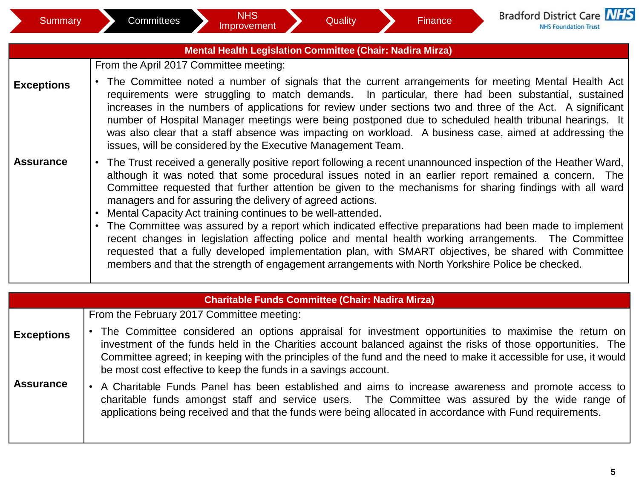|                   | <b>Mental Health Legislation Committee (Chair: Nadira Mirza)</b>                                                                                                                                                                                                                                                                                                                                                                                                                                                                                                                                                                                                                                                                                                                                                                                                                                           |
|-------------------|------------------------------------------------------------------------------------------------------------------------------------------------------------------------------------------------------------------------------------------------------------------------------------------------------------------------------------------------------------------------------------------------------------------------------------------------------------------------------------------------------------------------------------------------------------------------------------------------------------------------------------------------------------------------------------------------------------------------------------------------------------------------------------------------------------------------------------------------------------------------------------------------------------|
|                   | From the April 2017 Committee meeting:                                                                                                                                                                                                                                                                                                                                                                                                                                                                                                                                                                                                                                                                                                                                                                                                                                                                     |
| <b>Exceptions</b> | The Committee noted a number of signals that the current arrangements for meeting Mental Health Act<br>requirements were struggling to match demands. In particular, there had been substantial, sustained<br>increases in the numbers of applications for review under sections two and three of the Act. A significant<br>number of Hospital Manager meetings were being postponed due to scheduled health tribunal hearings. It<br>was also clear that a staff absence was impacting on workload. A business case, aimed at addressing the<br>issues, will be considered by the Executive Management Team.                                                                                                                                                                                                                                                                                              |
| <b>Assurance</b>  | The Trust received a generally positive report following a recent unannounced inspection of the Heather Ward,<br>$\bullet$<br>although it was noted that some procedural issues noted in an earlier report remained a concern. The<br>Committee requested that further attention be given to the mechanisms for sharing findings with all ward<br>managers and for assuring the delivery of agreed actions.<br>Mental Capacity Act training continues to be well-attended.<br>The Committee was assured by a report which indicated effective preparations had been made to implement<br>recent changes in legislation affecting police and mental health working arrangements. The Committee<br>requested that a fully developed implementation plan, with SMART objectives, be shared with Committee<br>members and that the strength of engagement arrangements with North Yorkshire Police be checked. |

|                   | <b>Charitable Funds Committee (Chair: Nadira Mirza)</b>                                                                                                                                                                                                                                                                                                                                                       |
|-------------------|---------------------------------------------------------------------------------------------------------------------------------------------------------------------------------------------------------------------------------------------------------------------------------------------------------------------------------------------------------------------------------------------------------------|
|                   | From the February 2017 Committee meeting:                                                                                                                                                                                                                                                                                                                                                                     |
| <b>Exceptions</b> | • The Committee considered an options appraisal for investment opportunities to maximise the return on<br>investment of the funds held in the Charities account balanced against the risks of those opportunities. The<br>Committee agreed; in keeping with the principles of the fund and the need to make it accessible for use, it would<br>be most cost effective to keep the funds in a savings account. |
| <b>Assurance</b>  | A Charitable Funds Panel has been established and aims to increase awareness and promote access to<br>charitable funds amongst staff and service users. The Committee was assured by the wide range of<br>applications being received and that the funds were being allocated in accordance with Fund requirements.                                                                                           |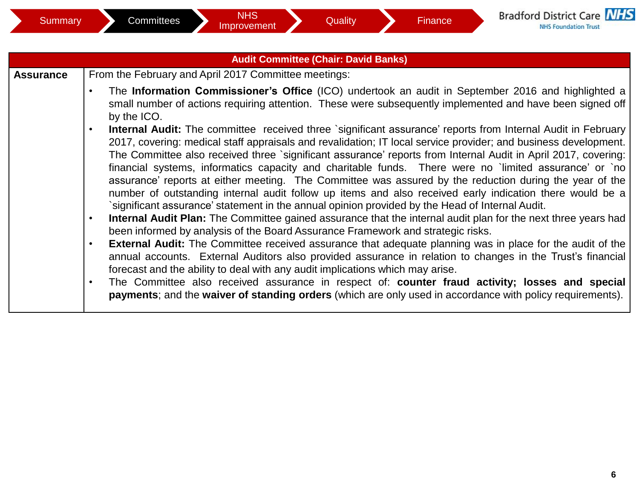|                  | <b>Audit Committee (Chair: David Banks)</b>                                                                                                                                                                                                                                                                                                                                                                                                                                                                                                                                                                                                                                                                                                                                                                                                                                                                                                                                                                                                                                                                                                                                                                                                                                                                                                                                                                                                                                                                                                           |
|------------------|-------------------------------------------------------------------------------------------------------------------------------------------------------------------------------------------------------------------------------------------------------------------------------------------------------------------------------------------------------------------------------------------------------------------------------------------------------------------------------------------------------------------------------------------------------------------------------------------------------------------------------------------------------------------------------------------------------------------------------------------------------------------------------------------------------------------------------------------------------------------------------------------------------------------------------------------------------------------------------------------------------------------------------------------------------------------------------------------------------------------------------------------------------------------------------------------------------------------------------------------------------------------------------------------------------------------------------------------------------------------------------------------------------------------------------------------------------------------------------------------------------------------------------------------------------|
| <b>Assurance</b> | From the February and April 2017 Committee meetings:                                                                                                                                                                                                                                                                                                                                                                                                                                                                                                                                                                                                                                                                                                                                                                                                                                                                                                                                                                                                                                                                                                                                                                                                                                                                                                                                                                                                                                                                                                  |
|                  | The Information Commissioner's Office (ICO) undertook an audit in September 2016 and highlighted a<br>$\bullet$<br>small number of actions requiring attention. These were subsequently implemented and have been signed off<br>by the ICO.                                                                                                                                                                                                                                                                                                                                                                                                                                                                                                                                                                                                                                                                                                                                                                                                                                                                                                                                                                                                                                                                                                                                                                                                                                                                                                           |
|                  | Internal Audit: The committee received three `significant assurance' reports from Internal Audit in February<br>$\bullet$<br>2017, covering: medical staff appraisals and revalidation; IT local service provider; and business development.<br>The Committee also received three `significant assurance' reports from Internal Audit in April 2017, covering:<br>financial systems, informatics capacity and charitable funds. There were no `limited assurance' or `no<br>assurance' reports at either meeting. The Committee was assured by the reduction during the year of the<br>number of outstanding internal audit follow up items and also received early indication there would be a<br>significant assurance' statement in the annual opinion provided by the Head of Internal Audit.<br>Internal Audit Plan: The Committee gained assurance that the internal audit plan for the next three years had<br>been informed by analysis of the Board Assurance Framework and strategic risks.<br><b>External Audit:</b> The Committee received assurance that adequate planning was in place for the audit of the<br>$\bullet$<br>annual accounts. External Auditors also provided assurance in relation to changes in the Trust's financial<br>forecast and the ability to deal with any audit implications which may arise.<br>The Committee also received assurance in respect of: counter fraud activity; losses and special<br>payments; and the waiver of standing orders (which are only used in accordance with policy requirements). |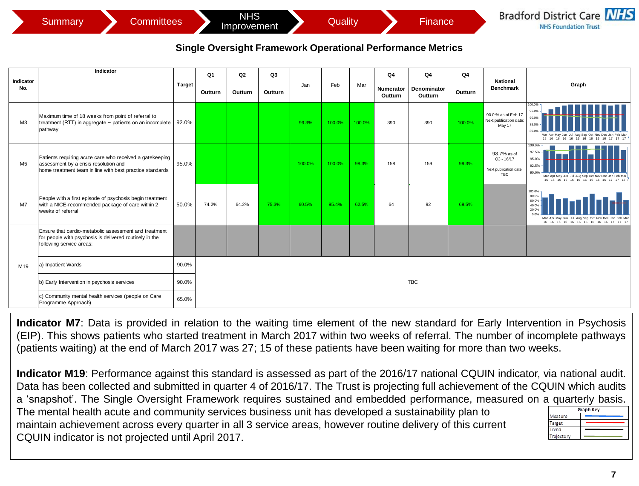## **Single Oversight Framework Operational Performance Metrics**

|                | <b>Summary</b><br><b>Committees</b>                                                                                                                           |               |                | <b>NHS</b><br>Improvement |         |        | Quality |        |                             | <b>Finance</b>                                                    |         |                                                              | <b>Bradford District Care NHS</b><br><b>NHS Foundation Trust</b>                                                                                   |
|----------------|---------------------------------------------------------------------------------------------------------------------------------------------------------------|---------------|----------------|---------------------------|---------|--------|---------|--------|-----------------------------|-------------------------------------------------------------------|---------|--------------------------------------------------------------|----------------------------------------------------------------------------------------------------------------------------------------------------|
|                |                                                                                                                                                               |               |                |                           |         |        |         |        |                             | <b>Single Oversight Framework Operational Performance Metrics</b> |         |                                                              |                                                                                                                                                    |
| Indicator      | Indicator                                                                                                                                                     |               | Q <sub>1</sub> | Q2                        | Q3      |        |         |        | Q <sub>4</sub>              | Q <sub>4</sub>                                                    | Q4      | <b>National</b>                                              |                                                                                                                                                    |
| No.            |                                                                                                                                                               | <b>Target</b> | Outturn        | Outturn                   | Outturn | Jan    | Feb     | Mar    | <b>Numerator</b><br>Outturn | Denominator<br>Outturn                                            | Outturn | <b>Benchmark</b>                                             | Graph                                                                                                                                              |
| M3             | Maximum time of 18 weeks from point of referral to<br>treatment (RTT) in aggregate - patients on an incomplete<br>pathway                                     | 92.0%         |                |                           |         | 99.3%  | 100.0%  | 100.0% | 390                         | 390                                                               | 100.0%  | 90.0 % as of Feb 17<br>Next publication date:<br>May 17      | 100.0%<br>95.0%<br>90.0%<br>85.0%<br>80.0%<br>Mar Apr May Jun Jul Aug Sep Oct Nov Dec Jan Feb Ma<br>16 16 16 16 16 16 16 16 16 16                  |
| M <sub>5</sub> | Patients requiring acute care who received a gatekeeping<br>assessment by a crisis resolution and<br>home treatment team in line with best practice standards | 95.0%         |                |                           |         | 100.0% | 100.0%  | 98.3%  | 158                         | 159                                                               | 99.3%   | 98.7% as of<br>$Q3 - 16/17$<br>Next publication date:<br>TBC | 100.0%<br>97.5%<br>95.0%<br>92.5%<br>90.0%<br>Mar Apr May Jun Jul Aug Sep Oct Nov Dec Jan Feb Mar<br>16 16 16 16 16 16 16 16 16 16 17 17 17        |
| M7             | People with a first episode of psychosis begin treatment<br>with a NICE-recommended package of care within 2<br>weeks of referral                             | 50.0%         | 74.2%          | 64.2%                     | 75.3%   | 60.5%  | 95.4%   | 62.5%  | 64                          | 92                                                                | 69.5%   |                                                              | 100.0%<br>80.0%<br>60.0%<br>40.0%<br>20.0%<br>0.0%<br>Mar Apr May Jun Jul Aug Sep Oct Nov Dec Jan Feb Ma<br>16 16 16 16 16 16 16 16 16 16 17 17 17 |
|                | Ensure that cardio-metabolic assessment and treatment<br>for people with psychosis is delivered routinely in the<br>following service areas:                  |               |                |                           |         |        |         |        |                             |                                                                   |         |                                                              |                                                                                                                                                    |
| M19            | a) Inpatient Wards                                                                                                                                            | 90.0%         |                |                           |         |        |         |        |                             |                                                                   |         |                                                              |                                                                                                                                                    |
|                | b) Early Intervention in psychosis services                                                                                                                   | 90.0%         |                |                           |         |        |         |        |                             | <b>TBC</b>                                                        |         |                                                              |                                                                                                                                                    |
|                | c) Community mental health services (people on Care<br>Programme Approach)                                                                                    | 65.0%         |                |                           |         |        |         |        |                             |                                                                   |         |                                                              |                                                                                                                                                    |

**Indicator M7**: Data is provided in relation to the waiting time element of the new standard for Early Intervention in Psychosis (EIP). This shows patients who started treatment in March 2017 within two weeks of referral. The number of incomplete pathways (patients waiting) at the end of March 2017 was 27; 15 of these patients have been waiting for more than two weeks.

**Indicator M19**: Performance against this standard is assessed as part of the 2016/17 national CQUIN indicator, via national audit. Data has been collected and submitted in quarter 4 of 2016/17. The Trust is projecting full achievement of the CQUIN which audits a 'snapshot'. The Single Oversight Framework requires sustained and embedded performance, measured on a quarterly basis. **Graph Key** The mental health acute and community services business unit has developed a sustainability plan to Measure maintain achievement across every quarter in all 3 service areas, however routine delivery of this current Target Trend CQUIN indicator is not projected until April 2017. Trajectory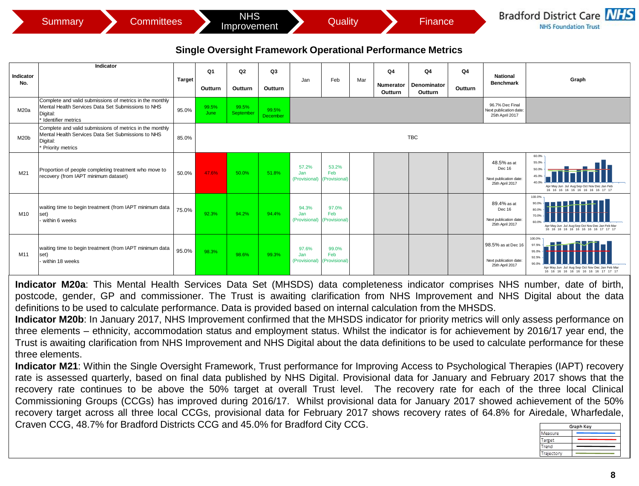| Summarv, | Committees⊺ | NHS<br>Improvement | Quality | Finance | <b>Bradford District Care NHS</b><br><b>NHS Foundation Trust</b> |
|----------|-------------|--------------------|---------|---------|------------------------------------------------------------------|
|----------|-------------|--------------------|---------|---------|------------------------------------------------------------------|

## **Single Oversight Framework Operational Performance Metrics**

|                  | <b>Committees</b><br><b>Summary</b>                                                                                                             |               |               | <b>NHS</b><br>Improvement |                   |                               | <b>Quality</b>                       |     |                            | Finance                                                                                    |               |                                                                     | <b>Bradford District Care NHS</b><br><b>NHS Foundation Trust</b>                                                                     |
|------------------|-------------------------------------------------------------------------------------------------------------------------------------------------|---------------|---------------|---------------------------|-------------------|-------------------------------|--------------------------------------|-----|----------------------------|--------------------------------------------------------------------------------------------|---------------|---------------------------------------------------------------------|--------------------------------------------------------------------------------------------------------------------------------------|
| Indicator<br>No. | Indicator                                                                                                                                       | <b>Target</b> | Q1<br>Outturn | Q2<br>Outturn             | Q3<br>Outturn     | Jan                           | Feb                                  | Mar | Q4<br>Numerator<br>Outturn | Single Oversight Framework Operational Performance Metrics<br>Q4<br>Denominator<br>Outturn | Q4<br>Outturn | National<br><b>Benchmark</b>                                        | Graph                                                                                                                                |
| M20a             | Complete and valid submissions of metrics in the monthly<br>Mental Health Services Data Set Submissions to NHS<br>Digital:<br>dentifier metrics | 95.0%         | 99.5%<br>June | 99.5%<br>September        | 99.5%<br>December |                               |                                      |     |                            |                                                                                            |               | 96.7% Dec Final<br><b>Next publication date:</b><br>25th April 2017 |                                                                                                                                      |
| M20b             | Complete and valid submissions of metrics in the monthly<br>Mental Health Services Data Set Submissions to NHS<br>Digital:<br>Priority metrics  | 85.0%         |               |                           |                   |                               |                                      |     |                            | <b>TBC</b>                                                                                 |               |                                                                     |                                                                                                                                      |
| M21              | Proportion of people completing treatment who move to<br>recovery (from IAPT minimum dataset)                                                   | 50.0%         | 47.6%         | 50.0%                     | 51.8%             | 57.2%<br>Jan<br>(Provisional) | 53.2%<br>Feb<br>(Provisional)        |     |                            |                                                                                            |               | 48.5% as at<br>Dec 16<br>Next publication date:<br>25th April 2017  | 60.0%<br>55.0%<br>50.0%<br>45.09<br>40.0%<br>Apr May Jun Jul Aug Sep Oct Nov Dec Jan Feb<br>16 16 16 16 16 16 16 16 16 17 17         |
| M10              | waiting time to begin treatment (from IAPT minimum data<br>set)<br>within 6 weeks                                                               | 75.0%         | 92.3%         | 94.2%                     | 94.4%             | 94.3%<br>Jan<br>(Provisional) | 97.0%<br>Feb<br><b>Provisional</b> ) |     |                            |                                                                                            |               | 89.4% as at<br>Dec 16<br>Next publication date:<br>25th April 2017  | 100.0%<br>90.0%<br>80.0%<br>70.09<br>60.09<br>Apr May Jun Jul Aug Sep Oct Nov Dec Jan Feb Mar<br>16 16 16 16 16 16 16 16 16 17 17 17 |
| M11              | waiting time to begin treatment (from IAPT minimum data<br>set)<br>within 18 weeks                                                              | 95.0%         | 98.3%         | 98.6%                     | 99.3%             | 97.6%<br>Jan<br>(Provisional) | 99.0%<br>Feb<br>(Provisional)        |     |                            |                                                                                            |               | 98.5% as at Dec 16<br>Next publication date:<br>25th April 2017     | 100.0%<br>97.5%<br>95.0%<br>90.0%<br>Apr May Jun Jul Aug Sep Oct Nov Dec Jan Feb Mar<br>16 16 16 16 16 16 16 16 16 17 17 17          |

**Indicator M20a**: This Mental Health Services Data Set (MHSDS) data completeness indicator comprises NHS number, date of birth, postcode, gender, GP and commissioner. The Trust is awaiting clarification from NHS Improvement and NHS Digital about the data definitions to be used to calculate performance. Data is provided based on internal calculation from the MHSDS.

**Indicator M20b**: In January 2017, NHS Improvement confirmed that the MHSDS indicator for priority metrics will only assess performance on three elements – ethnicity, accommodation status and employment status. Whilst the indicator is for achievement by 2016/17 year end, the Trust is awaiting clarification from NHS Improvement and NHS Digital about the data definitions to be used to calculate performance for these three elements.

**Indicator M21**: Within the Single Oversight Framework, Trust performance for Improving Access to Psychological Therapies (IAPT) recovery rate is assessed quarterly, based on final data published by NHS Digital. Provisional data for January and February 2017 shows that the recovery rate continues to be above the 50% target at overall Trust level. The recovery rate for each of the three local Clinical Commissioning Groups (CCGs) has improved during 2016/17. Whilst provisional data for January 2017 showed achievement of the 50% recovery target across all three local CCGs, provisional data for February 2017 shows recovery rates of 64.8% for Airedale, Wharfedale, Craven CCG, 48.7% for Bradford Districts CCG and 45.0% for Bradford City CCG.

| Graph Key  |  |  |  |  |  |
|------------|--|--|--|--|--|
| Measure    |  |  |  |  |  |
| Target     |  |  |  |  |  |
| Trend      |  |  |  |  |  |
| Trajectory |  |  |  |  |  |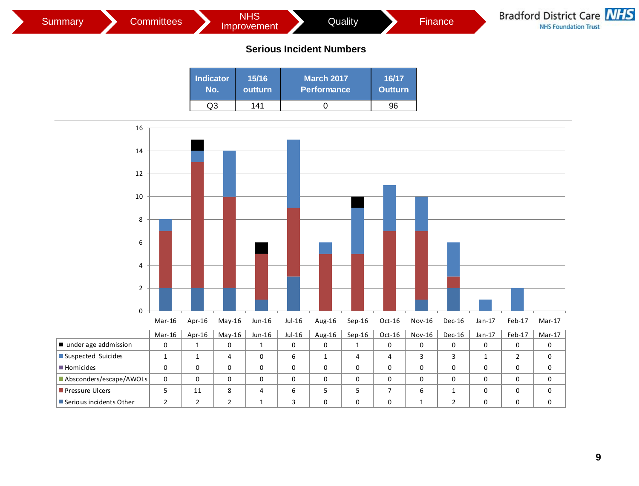

| <b>Serious Incident Numbers</b> |                  |                                         |                         |  |  |  |  |
|---------------------------------|------------------|-----------------------------------------|-------------------------|--|--|--|--|
| <b>Indicator</b><br>No.         | 15/16<br>outturn | <b>March 2017</b><br><b>Performance</b> | 16/17<br><b>Outturn</b> |  |  |  |  |
| റദ                              | 141              |                                         | 96                      |  |  |  |  |
|                                 |                  |                                         |                         |  |  |  |  |

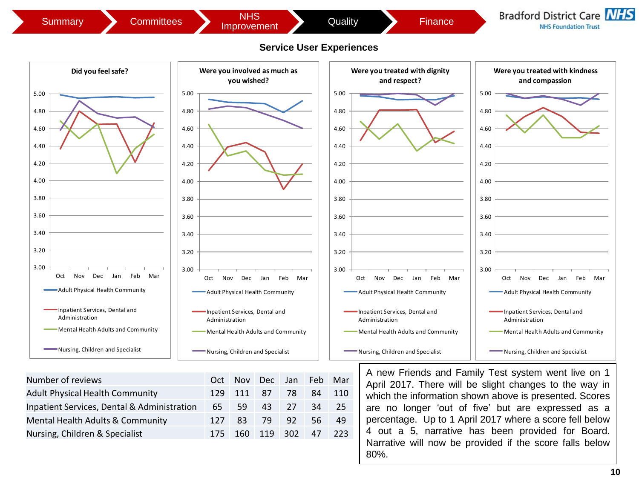

| Number of reviews                           | Oct |                 | Nov Dec Jan Feb Mar |      |     |      |
|---------------------------------------------|-----|-----------------|---------------------|------|-----|------|
| <b>Adult Physical Health Community</b>      |     | 129 111 87      |                     | -78  | 84  | 110  |
| Inpatient Services, Dental & Administration | 65  | 59              | 43                  | 27   | 34  | 25   |
| Mental Health Adults & Community            | 127 | 83.             | 79                  | -92. | 56. | -49  |
| Nursing, Children & Specialist              |     | 175 160 119 302 |                     |      | 47  | -223 |

April 2017. There will be slight changes to the way in which the information shown above is presented. Scores are no longer 'out of five' but are expressed as a percentage. Up to 1 April 2017 where a score fell below 4 out a 5, narrative has been provided for Board. Narrative will now be provided if the score falls below 80%.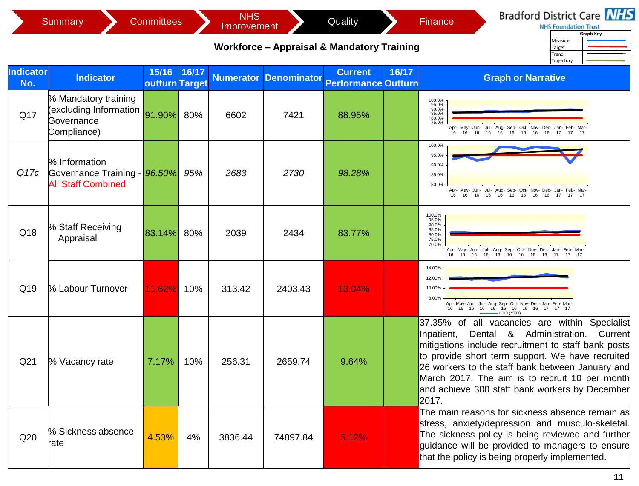